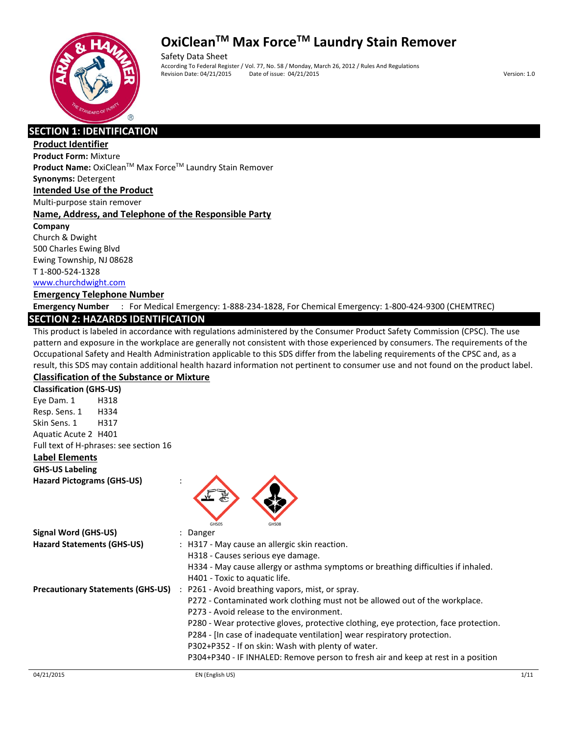

Safety Data Sheet According To Federal Register / Vol. 77, No. 58 / Monday, March 26, 2012 / Rules And Regulations Revision Date: 04/21/2015 Date of issue: 04/21/2015 Version: 1.0

#### **SECTION 1: IDENTIFICATION**

#### **Product Identifier**

**Product Form:** Mixture

**Product Name:** OxiClean™ Max Force™ Laundry Stain Remover **Synonyms:** Detergent

#### **Intended Use of the Product**

Multi-purpose stain remover

#### **Name, Address, and Telephone of the Responsible Party**

**Company**  Church & Dwight 500 Charles Ewing Blvd Ewing Township, NJ 08628 T 1-800-524-1328

#### www.churchdwight.com

#### **Emergency Telephone Number**

**Emergency Number** : For Medical Emergency: 1-888-234-1828, For Chemical Emergency: 1-800-424-9300 (CHEMTREC)

#### **SECTION 2: HAZARDS IDENTIFICATION**

This product is labeled in accordance with regulations administered by the Consumer Product Safety Commission (CPSC). The use pattern and exposure in the workplace are generally not consistent with those experienced by consumers. The requirements of the Occupational Safety and Health Administration applicable to this SDS differ from the labeling requirements of the CPSC and, as a result, this SDS may contain additional health hazard information not pertinent to consumer use and not found on the product label. **Classification of the Substance or Mixture**

**Classification (GHS-US)** Eye Dam. 1 H318 Resp. Sens. 1 H334 Skin Sens. 1 H317 Aquatic Acute 2 H401 Full text of H-phrases: see section 16

#### **Label Elements**

**GHS-US Labeling Hazard Pictograms (GHS-US)** :



| Signal Word (GHS-US)                     | Danger                                                                               |
|------------------------------------------|--------------------------------------------------------------------------------------|
| <b>Hazard Statements (GHS-US)</b>        | : H317 - May cause an allergic skin reaction.                                        |
|                                          | H318 - Causes serious eve damage.                                                    |
|                                          | H334 - May cause allergy or asthma symptoms or breathing difficulties if inhaled.    |
|                                          | H401 - Toxic to aquatic life.                                                        |
| <b>Precautionary Statements (GHS-US)</b> | P261 - Avoid breathing vapors, mist, or spray.<br>$\ddot{\phantom{0}}$               |
|                                          | P272 - Contaminated work clothing must not be allowed out of the workplace.          |
|                                          | P273 - Avoid release to the environment.                                             |
|                                          | P280 - Wear protective gloves, protective clothing, eye protection, face protection. |
|                                          | P284 - [In case of inadequate ventilation] wear respiratory protection.              |
|                                          | P302+P352 - If on skin: Wash with plenty of water.                                   |
|                                          | P304+P340 - IF INHALED: Remove person to fresh air and keep at rest in a position    |
|                                          |                                                                                      |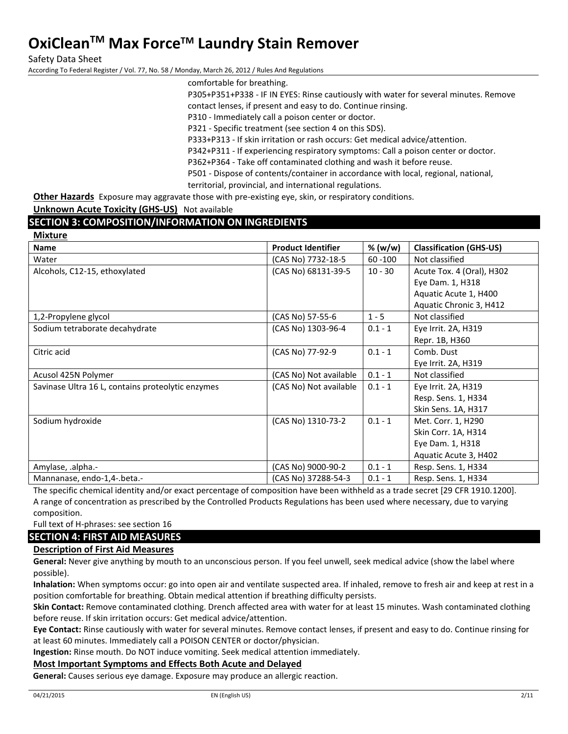Safety Data Sheet

According To Federal Register / Vol. 77, No. 58 / Monday, March 26, 2012 / Rules And Regulations

comfortable for breathing.

P305+P351+P338 - IF IN EYES: Rinse cautiously with water for several minutes. Remove contact lenses, if present and easy to do. Continue rinsing.

P310 - Immediately call a poison center or doctor.

P321 - Specific treatment (see section 4 on this SDS).

P333+P313 - If skin irritation or rash occurs: Get medical advice/attention.

P342+P311 - If experiencing respiratory symptoms: Call a poison center or doctor.

P362+P364 - Take off contaminated clothing and wash it before reuse.

P501 - Dispose of contents/container in accordance with local, regional, national, territorial, provincial, and international regulations.

**Other Hazards** Exposure may aggravate those with pre-existing eye, skin, or respiratory conditions.

**Unknown Acute Toxicity (GHS-US)** Not available

#### **SECTION 3: COMPOSITION/INFORMATION ON INGREDIENTS**

| <b>Mixture</b>                                    |                           |            |                                |
|---------------------------------------------------|---------------------------|------------|--------------------------------|
| <b>Name</b>                                       | <b>Product Identifier</b> | % (w/w)    | <b>Classification (GHS-US)</b> |
| Water                                             | (CAS No) 7732-18-5        | $60 - 100$ | Not classified                 |
| Alcohols, C12-15, ethoxylated                     | (CAS No) 68131-39-5       | $10 - 30$  | Acute Tox. 4 (Oral), H302      |
|                                                   |                           |            | Eye Dam. 1, H318               |
|                                                   |                           |            | Aquatic Acute 1, H400          |
|                                                   |                           |            | Aquatic Chronic 3, H412        |
| 1,2-Propylene glycol                              | (CAS No) 57-55-6          | $1 - 5$    | Not classified                 |
| Sodium tetraborate decahydrate                    | (CAS No) 1303-96-4        | $0.1 - 1$  | Eye Irrit. 2A, H319            |
|                                                   |                           |            | Repr. 1B, H360                 |
| Citric acid                                       | (CAS No) 77-92-9          | $0.1 - 1$  | Comb. Dust                     |
|                                                   |                           |            | Eye Irrit. 2A, H319            |
| Acusol 425N Polymer                               | (CAS No) Not available    | $0.1 - 1$  | Not classified                 |
| Savinase Ultra 16 L, contains proteolytic enzymes | (CAS No) Not available    | $0.1 - 1$  | Eye Irrit. 2A, H319            |
|                                                   |                           |            | Resp. Sens. 1, H334            |
|                                                   |                           |            | Skin Sens. 1A, H317            |
| Sodium hydroxide                                  | (CAS No) 1310-73-2        | $0.1 - 1$  | Met. Corr. 1, H290             |
|                                                   |                           |            | Skin Corr. 1A, H314            |
|                                                   |                           |            | Eye Dam. 1, H318               |
|                                                   |                           |            | Aquatic Acute 3, H402          |
| Amylase, .alpha.-                                 | (CAS No) 9000-90-2        | $0.1 - 1$  | Resp. Sens. 1, H334            |
| Mannanase, endo-1,4-.beta.-                       | (CAS No) 37288-54-3       | $0.1 - 1$  | Resp. Sens. 1, H334            |

The specific chemical identity and/or exact percentage of composition have been withheld as a trade secret [29 CFR 1910.1200]. A range of concentration as prescribed by the Controlled Products Regulations has been used where necessary, due to varying composition.

Full text of H-phrases: see section 16

#### **SECTION 4: FIRST AID MEASURES**

#### **Description of First Aid Measures**

**General:** Never give anything by mouth to an unconscious person. If you feel unwell, seek medical advice (show the label where possible).

**Inhalation:** When symptoms occur: go into open air and ventilate suspected area. If inhaled, remove to fresh air and keep at rest in a position comfortable for breathing. Obtain medical attention if breathing difficulty persists.

**Skin Contact:** Remove contaminated clothing. Drench affected area with water for at least 15 minutes. Wash contaminated clothing before reuse. If skin irritation occurs: Get medical advice/attention.

**Eye Contact:** Rinse cautiously with water for several minutes. Remove contact lenses, if present and easy to do. Continue rinsing for at least 60 minutes. Immediately call a POISON CENTER or doctor/physician.

**Ingestion:** Rinse mouth. Do NOT induce vomiting. Seek medical attention immediately.

#### **Most Important Symptoms and Effects Both Acute and Delayed**

**General:** Causes serious eye damage. Exposure may produce an allergic reaction.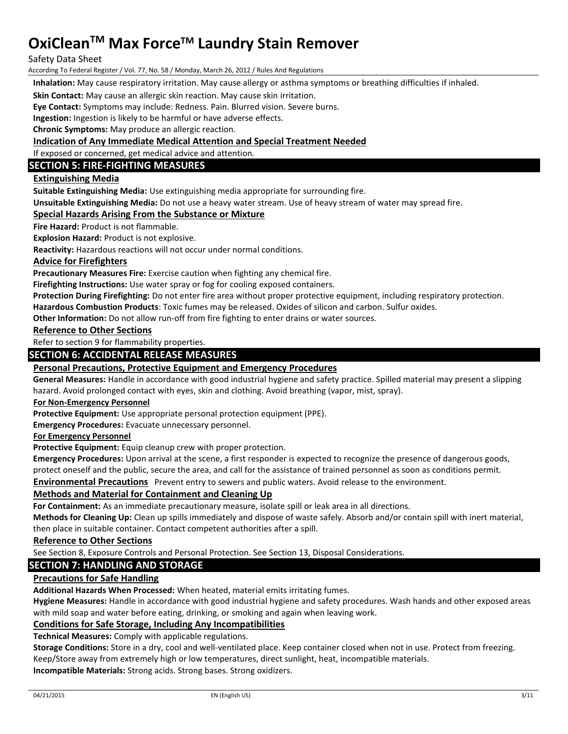Safety Data Sheet

According To Federal Register / Vol. 77, No. 58 / Monday, March 26, 2012 / Rules And Regulations

**Inhalation:** May cause respiratory irritation. May cause allergy or asthma symptoms or breathing difficulties if inhaled.

**Skin Contact:** May cause an allergic skin reaction. May cause skin irritation.

**Eye Contact:** Symptoms may include: Redness. Pain. Blurred vision. Severe burns.

**Ingestion:** Ingestion is likely to be harmful or have adverse effects.

**Chronic Symptoms:** May produce an allergic reaction.

#### **Indication of Any Immediate Medical Attention and Special Treatment Needed**

If exposed or concerned, get medical advice and attention.

#### **SECTION 5: FIRE-FIGHTING MEASURES**

#### **Extinguishing Media**

**Suitable Extinguishing Media:** Use extinguishing media appropriate for surrounding fire.

**Unsuitable Extinguishing Media:** Do not use a heavy water stream. Use of heavy stream of water may spread fire.

#### **Special Hazards Arising From the Substance or Mixture**

**Fire Hazard:** Product is not flammable.

**Explosion Hazard:** Product is not explosive.

**Reactivity:** Hazardous reactions will not occur under normal conditions.

#### **Advice for Firefighters**

**Precautionary Measures Fire:** Exercise caution when fighting any chemical fire.

**Firefighting Instructions:** Use water spray or fog for cooling exposed containers.

**Protection During Firefighting:** Do not enter fire area without proper protective equipment, including respiratory protection.

**Hazardous Combustion Products**: Toxic fumes may be released. Oxides of silicon and carbon. Sulfur oxides.

**Other Information:** Do not allow run-off from fire fighting to enter drains or water sources.

#### **Reference to Other Sections**

Refer to section 9 for flammability properties.

#### **SECTION 6: ACCIDENTAL RELEASE MEASURES**

#### **Personal Precautions, Protective Equipment and Emergency Procedures**

**General Measures:** Handle in accordance with good industrial hygiene and safety practice. Spilled material may present a slipping hazard. Avoid prolonged contact with eyes, skin and clothing. Avoid breathing (vapor, mist, spray).

#### **For Non-Emergency Personnel**

**Protective Equipment:** Use appropriate personal protection equipment (PPE).

**Emergency Procedures:** Evacuate unnecessary personnel.

#### **For Emergency Personnel**

**Protective Equipment:** Equip cleanup crew with proper protection.

**Emergency Procedures:** Upon arrival at the scene, a first responder is expected to recognize the presence of dangerous goods,

protect oneself and the public, secure the area, and call for the assistance of trained personnel as soon as conditions permit.

**Environmental Precautions** Prevent entry to sewers and public waters. Avoid release to the environment.

#### **Methods and Material for Containment and Cleaning Up**

**For Containment:** As an immediate precautionary measure, isolate spill or leak area in all directions.

**Methods for Cleaning Up:** Clean up spills immediately and dispose of waste safely. Absorb and/or contain spill with inert material, then place in suitable container. Contact competent authorities after a spill.

#### **Reference to Other Sections**

See Section 8, Exposure Controls and Personal Protection. See Section 13, Disposal Considerations.

#### **SECTION 7: HANDLING AND STORAGE**

#### **Precautions for Safe Handling**

**Additional Hazards When Processed:** When heated, material emits irritating fumes.

**Hygiene Measures:** Handle in accordance with good industrial hygiene and safety procedures. Wash hands and other exposed areas with mild soap and water before eating, drinking, or smoking and again when leaving work.

#### **Conditions for Safe Storage, Including Any Incompatibilities**

**Technical Measures:** Comply with applicable regulations.

**Storage Conditions:** Store in a dry, cool and well-ventilated place. Keep container closed when not in use. Protect from freezing. Keep/Store away from extremely high or low temperatures, direct sunlight, heat, incompatible materials.

**Incompatible Materials:** Strong acids. Strong bases. Strong oxidizers.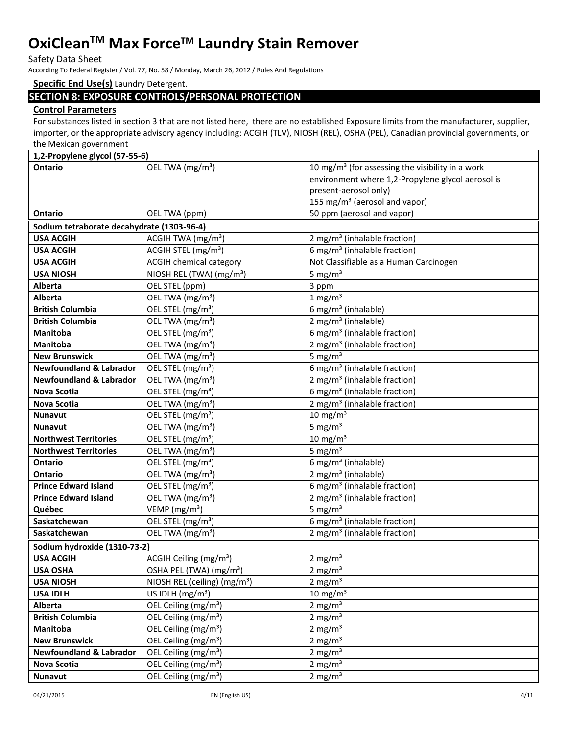Safety Data Sheet

According To Federal Register / Vol. 77, No. 58 / Monday, March 26, 2012 / Rules And Regulations

#### **Specific End Use(s)** Laundry Detergent.

#### **SECTION 8: EXPOSURE CONTROLS/PERSONAL PROTECTION**

#### **Control Parameters**

For substances listed in section 3 that are not listed here, there are no established Exposure limits from the manufacturer, supplier, importer, or the appropriate advisory agency including: ACGIH (TLV), NIOSH (REL), OSHA (PEL), Canadian provincial governments, or the Mexican government

| 1,2-Propylene glycol (57-55-6)             |                                          |                                                              |  |  |
|--------------------------------------------|------------------------------------------|--------------------------------------------------------------|--|--|
| Ontario                                    | OEL TWA (mg/m <sup>3</sup> )             | 10 mg/m <sup>3</sup> (for assessing the visibility in a work |  |  |
|                                            |                                          | environment where 1,2-Propylene glycol aerosol is            |  |  |
|                                            |                                          | present-aerosol only)                                        |  |  |
|                                            |                                          | 155 mg/m <sup>3</sup> (aerosol and vapor)                    |  |  |
| <b>Ontario</b>                             | OEL TWA (ppm)                            | 50 ppm (aerosol and vapor)                                   |  |  |
| Sodium tetraborate decahydrate (1303-96-4) |                                          |                                                              |  |  |
| <b>USA ACGIH</b>                           | ACGIH TWA (mg/m <sup>3</sup> )           | 2 mg/m <sup>3</sup> (inhalable fraction)                     |  |  |
| <b>USA ACGIH</b>                           | ACGIH STEL (mg/m <sup>3</sup> )          | 6 mg/m <sup>3</sup> (inhalable fraction)                     |  |  |
| <b>USA ACGIH</b>                           | <b>ACGIH chemical category</b>           | Not Classifiable as a Human Carcinogen                       |  |  |
| <b>USA NIOSH</b>                           | NIOSH REL (TWA) (mg/m <sup>3</sup> )     | 5 mg/ $m3$                                                   |  |  |
| <b>Alberta</b>                             | OEL STEL (ppm)                           | 3 ppm                                                        |  |  |
| Alberta                                    | OEL TWA (mg/m <sup>3</sup> )             | $1$ mg/m <sup>3</sup>                                        |  |  |
| <b>British Columbia</b>                    | OEL STEL (mg/m <sup>3</sup> )            | 6 mg/m <sup>3</sup> (inhalable)                              |  |  |
| <b>British Columbia</b>                    | OEL TWA (mg/m <sup>3</sup> )             | 2 mg/m <sup>3</sup> (inhalable)                              |  |  |
| <b>Manitoba</b>                            | OEL STEL (mg/m <sup>3</sup> )            | 6 mg/m <sup>3</sup> (inhalable fraction)                     |  |  |
| <b>Manitoba</b>                            | OEL TWA (mg/m <sup>3</sup> )             | 2 mg/m <sup>3</sup> (inhalable fraction)                     |  |  |
| <b>New Brunswick</b>                       | OEL TWA (mg/m <sup>3</sup> )             | 5 mg/ $m3$                                                   |  |  |
| <b>Newfoundland &amp; Labrador</b>         | OEL STEL (mg/m <sup>3</sup> )            | 6 mg/m <sup>3</sup> (inhalable fraction)                     |  |  |
| <b>Newfoundland &amp; Labrador</b>         | OEL TWA (mg/m <sup>3</sup> )             | 2 mg/m <sup>3</sup> (inhalable fraction)                     |  |  |
| <b>Nova Scotia</b>                         | OEL STEL (mg/m <sup>3</sup> )            | 6 mg/m <sup>3</sup> (inhalable fraction)                     |  |  |
| <b>Nova Scotia</b>                         | OEL TWA (mg/m <sup>3</sup> )             | 2 mg/m <sup>3</sup> (inhalable fraction)                     |  |  |
| <b>Nunavut</b>                             | OEL STEL (mg/m <sup>3</sup> )            | $10 \text{ mg/m}^3$                                          |  |  |
| <b>Nunavut</b>                             | OEL TWA (mg/m <sup>3</sup> )             | 5 mg/ $m3$                                                   |  |  |
| <b>Northwest Territories</b>               | OEL STEL (mg/m <sup>3</sup> )            | $10 \text{ mg/m}^3$                                          |  |  |
| <b>Northwest Territories</b>               | OEL TWA (mg/m <sup>3</sup> )             | 5 mg/ $m3$                                                   |  |  |
| Ontario                                    | OEL STEL (mg/m <sup>3</sup> )            | 6 mg/m <sup>3</sup> (inhalable)                              |  |  |
| <b>Ontario</b>                             | OEL TWA (mg/m <sup>3</sup> )             | 2 mg/m <sup>3</sup> (inhalable)                              |  |  |
| <b>Prince Edward Island</b>                | OEL STEL (mg/m <sup>3</sup> )            | 6 mg/m <sup>3</sup> (inhalable fraction)                     |  |  |
| <b>Prince Edward Island</b>                | OEL TWA (mg/m <sup>3</sup> )             | 2 mg/m <sup>3</sup> (inhalable fraction)                     |  |  |
| Québec                                     | VEMP (mg/m <sup>3</sup> )                | 5 mg/ $m3$                                                   |  |  |
| Saskatchewan                               | OEL STEL (mg/m <sup>3</sup> )            | 6 mg/m <sup>3</sup> (inhalable fraction)                     |  |  |
| Saskatchewan                               | OEL TWA (mg/m <sup>3</sup> )             | 2 mg/m <sup>3</sup> (inhalable fraction)                     |  |  |
| Sodium hydroxide (1310-73-2)               |                                          |                                                              |  |  |
| <b>USA ACGIH</b>                           | ACGIH Ceiling (mg/m <sup>3</sup> )       | $2 \text{ mg/m}^3$                                           |  |  |
| <b>USA OSHA</b>                            | OSHA PEL (TWA) (mg/m <sup>3</sup> )      | $2 \text{ mg/m}^3$                                           |  |  |
| <b>USA NIOSH</b>                           | NIOSH REL (ceiling) (mg/m <sup>3</sup> ) | 2 mg/ $m3$                                                   |  |  |
| <b>USA IDLH</b>                            | US IDLH $(mg/m3)$                        | $10 \text{ mg/m}^3$                                          |  |  |
| Alberta                                    | OEL Ceiling (mg/m <sup>3</sup> )         | 2 mg/ $m3$                                                   |  |  |
| <b>British Columbia</b>                    | OEL Ceiling (mg/m <sup>3</sup> )         | 2 mg/ $m3$                                                   |  |  |
| Manitoba                                   | OEL Ceiling (mg/m <sup>3</sup> )         | 2 mg/ $m3$                                                   |  |  |
| <b>New Brunswick</b>                       | OEL Ceiling (mg/m <sup>3</sup> )         | $2 \text{ mg/m}^3$                                           |  |  |
| <b>Newfoundland &amp; Labrador</b>         | OEL Ceiling (mg/m <sup>3</sup> )         | 2 mg/ $m3$                                                   |  |  |
| <b>Nova Scotia</b>                         | OEL Ceiling (mg/m <sup>3</sup> )         | $2 \text{ mg/m}^3$                                           |  |  |
| <b>Nunavut</b>                             | OEL Ceiling (mg/m <sup>3</sup> )         | 2 mg/ $m3$                                                   |  |  |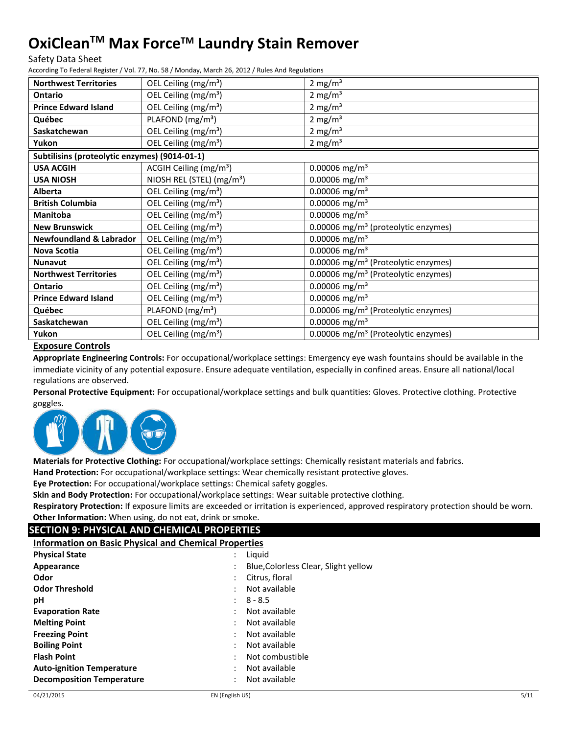Safety Data Sheet

According To Federal Register / Vol. 77, No. 58 / Monday, March 26, 2012 / Rules And Regulations

| <b>Northwest Territories</b>                  | OEL Ceiling (mg/m <sup>3</sup> )      | $2 \text{ mg/m}^3$                              |
|-----------------------------------------------|---------------------------------------|-------------------------------------------------|
| Ontario                                       | OEL Ceiling (mg/m <sup>3</sup> )      | 2 mg/ $m3$                                      |
| <b>Prince Edward Island</b>                   | OEL Ceiling (mg/m <sup>3</sup> )      | $2 \text{ mg/m}^3$                              |
| Québec                                        | PLAFOND (mg/m <sup>3</sup> )          | $2 \text{ mg/m}^3$                              |
| Saskatchewan                                  | OEL Ceiling (mg/m <sup>3</sup> )      | 2 mg/ $m3$                                      |
| Yukon                                         | OEL Ceiling (mg/m <sup>3</sup> )      | $2 \text{ mg/m}^3$                              |
| Subtilisins (proteolytic enzymes) (9014-01-1) |                                       |                                                 |
| <b>USA ACGIH</b>                              | ACGIH Ceiling (mg/m <sup>3</sup> )    | $0.00006$ mg/m <sup>3</sup>                     |
| <b>USA NIOSH</b>                              | NIOSH REL (STEL) (mg/m <sup>3</sup> ) | $0.00006$ mg/m <sup>3</sup>                     |
| <b>Alberta</b>                                | OEL Ceiling (mg/m <sup>3</sup> )      | $0.00006$ mg/m <sup>3</sup>                     |
| <b>British Columbia</b>                       | OEL Ceiling (mg/m <sup>3</sup> )      | $0.00006$ mg/m <sup>3</sup>                     |
| <b>Manitoba</b>                               | OEL Ceiling (mg/m <sup>3</sup> )      | $0.00006$ mg/m <sup>3</sup>                     |
| <b>New Brunswick</b>                          | OEL Ceiling (mg/m <sup>3</sup> )      | 0.00006 mg/m <sup>3</sup> (proteolytic enzymes) |
| <b>Newfoundland &amp; Labrador</b>            | OEL Ceiling (mg/m <sup>3</sup> )      | $0.00006$ mg/m <sup>3</sup>                     |
| Nova Scotia                                   | OEL Ceiling (mg/m <sup>3</sup> )      | $0.00006$ mg/m <sup>3</sup>                     |
| <b>Nunavut</b>                                | OEL Ceiling (mg/m <sup>3</sup> )      | 0.00006 mg/m <sup>3</sup> (Proteolytic enzymes) |
| <b>Northwest Territories</b>                  | OEL Ceiling (mg/m <sup>3</sup> )      | 0.00006 mg/m <sup>3</sup> (Proteolytic enzymes) |
| Ontario                                       | OEL Ceiling (mg/m <sup>3</sup> )      | $0.00006$ mg/m <sup>3</sup>                     |
| <b>Prince Edward Island</b>                   | OEL Ceiling (mg/m <sup>3</sup> )      | $0.00006$ mg/m <sup>3</sup>                     |
| Québec                                        | PLAFOND (mg/m <sup>3</sup> )          | 0.00006 mg/m <sup>3</sup> (Proteolytic enzymes) |
| Saskatchewan                                  | OEL Ceiling (mg/m <sup>3</sup> )      | $0.00006$ mg/m <sup>3</sup>                     |
| Yukon                                         | OEL Ceiling (mg/m <sup>3</sup> )      | 0.00006 mg/m <sup>3</sup> (Proteolytic enzymes) |

#### **Exposure Controls**

**Appropriate Engineering Controls:** For occupational/workplace settings: Emergency eye wash fountains should be available in the immediate vicinity of any potential exposure. Ensure adequate ventilation, especially in confined areas. Ensure all national/local regulations are observed.

**Personal Protective Equipment:** For occupational/workplace settings and bulk quantities: Gloves. Protective clothing. Protective goggles.



**Materials for Protective Clothing:** For occupational/workplace settings: Chemically resistant materials and fabrics.

**Hand Protection:** For occupational/workplace settings: Wear chemically resistant protective gloves.

**Eye Protection:** For occupational/workplace settings: Chemical safety goggles.

**Skin and Body Protection:** For occupational/workplace settings: Wear suitable protective clothing.

**Respiratory Protection:** If exposure limits are exceeded or irritation is experienced, approved respiratory protection should be worn. **Other Information:** When using, do not eat, drink or smoke.

### **SECTION 9: PHYSICAL AND CHEMICAL PROPERTIES**

| <b>Information on Basic Physical and Chemical Properties</b> |  |                                      |
|--------------------------------------------------------------|--|--------------------------------------|
| <b>Physical State</b>                                        |  | Liguid                               |
| Appearance                                                   |  | Blue, Colorless Clear, Slight yellow |
| Odor                                                         |  | Citrus, floral                       |
| <b>Odor Threshold</b>                                        |  | Not available                        |
| рH                                                           |  | $8 - 8.5$                            |
| <b>Evaporation Rate</b>                                      |  | Not available                        |
| <b>Melting Point</b>                                         |  | Not available                        |
| <b>Freezing Point</b>                                        |  | Not available                        |
| <b>Boiling Point</b>                                         |  | Not available                        |
| <b>Flash Point</b>                                           |  | Not combustible                      |
| <b>Auto-ignition Temperature</b>                             |  | Not available                        |
| <b>Decomposition Temperature</b>                             |  | Not available                        |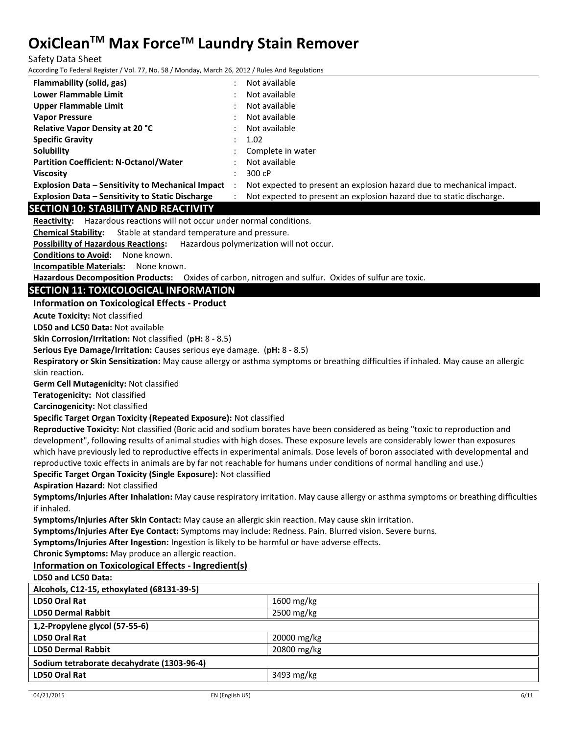Safety Data Sheet

According To Federal Register / Vol. 77, No. 58 / Monday, March 26, 2012 / Rules And Regulations

| According To Federal Register / Vol. 77, No. 58 / Monday, March 26, 2012 / Rules And Regulations             |                                                                                                                                      |
|--------------------------------------------------------------------------------------------------------------|--------------------------------------------------------------------------------------------------------------------------------------|
| Flammability (solid, gas)                                                                                    | Not available                                                                                                                        |
| <b>Lower Flammable Limit</b>                                                                                 | Not available                                                                                                                        |
| <b>Upper Flammable Limit</b>                                                                                 | Not available                                                                                                                        |
| <b>Vapor Pressure</b>                                                                                        | Not available                                                                                                                        |
| Relative Vapor Density at 20 °C                                                                              | Not available                                                                                                                        |
| <b>Specific Gravity</b>                                                                                      | 1.02                                                                                                                                 |
| Solubility                                                                                                   | Complete in water                                                                                                                    |
| <b>Partition Coefficient: N-Octanol/Water</b>                                                                | Not available                                                                                                                        |
| <b>Viscosity</b>                                                                                             | 300 cP                                                                                                                               |
| $\ddot{\phantom{a}}$<br><b>Explosion Data - Sensitivity to Mechanical Impact</b>                             | Not expected to present an explosion hazard due to mechanical impact.                                                                |
| <b>Explosion Data - Sensitivity to Static Discharge</b><br>$\ddot{\cdot}$                                    | Not expected to present an explosion hazard due to static discharge.                                                                 |
| <b>SECTION 10: STABILITY AND REACTIVITY</b>                                                                  |                                                                                                                                      |
| Reactivity: Hazardous reactions will not occur under normal conditions.                                      |                                                                                                                                      |
| Stable at standard temperature and pressure.<br><b>Chemical Stability:</b>                                   |                                                                                                                                      |
| <b>Possibility of Hazardous Reactions:</b>                                                                   | Hazardous polymerization will not occur.                                                                                             |
| <b>Conditions to Avoid:</b><br>None known.                                                                   |                                                                                                                                      |
| <b>Incompatible Materials:</b><br>None known.                                                                |                                                                                                                                      |
| Hazardous Decomposition Products: Oxides of carbon, nitrogen and sulfur. Oxides of sulfur are toxic.         |                                                                                                                                      |
| <b>SECTION 11: TOXICOLOGICAL INFORMATION</b>                                                                 |                                                                                                                                      |
| <b>Information on Toxicological Effects - Product</b>                                                        |                                                                                                                                      |
| <b>Acute Toxicity: Not classified</b>                                                                        |                                                                                                                                      |
| LD50 and LC50 Data: Not available                                                                            |                                                                                                                                      |
| Skin Corrosion/Irritation: Not classified (pH: 8 - 8.5)                                                      |                                                                                                                                      |
| Serious Eye Damage/Irritation: Causes serious eye damage. (pH: 8 - 8.5)                                      |                                                                                                                                      |
|                                                                                                              | Respiratory or Skin Sensitization: May cause allergy or asthma symptoms or breathing difficulties if inhaled. May cause an allergic  |
| skin reaction.                                                                                               |                                                                                                                                      |
| Germ Cell Mutagenicity: Not classified                                                                       |                                                                                                                                      |
| Teratogenicity: Not classified                                                                               |                                                                                                                                      |
| Carcinogenicity: Not classified                                                                              |                                                                                                                                      |
| Specific Target Organ Toxicity (Repeated Exposure): Not classified                                           |                                                                                                                                      |
|                                                                                                              | Reproductive Toxicity: Not classified (Boric acid and sodium borates have been considered as being "toxic to reproduction and        |
|                                                                                                              | development", following results of animal studies with high doses. These exposure levels are considerably lower than exposures       |
|                                                                                                              | which have previously led to reproductive effects in experimental animals. Dose levels of boron associated with developmental and    |
|                                                                                                              | reproductive toxic effects in animals are by far not reachable for humans under conditions of normal handling and use.)              |
| Specific Target Organ Toxicity (Single Exposure): Not classified<br><b>Aspiration Hazard: Not classified</b> |                                                                                                                                      |
|                                                                                                              | Symptoms/Injuries After Inhalation: May cause respiratory irritation. May cause allergy or asthma symptoms or breathing difficulties |
| if inhaled.                                                                                                  |                                                                                                                                      |
| Symptoms/Injuries After Skin Contact: May cause an allergic skin reaction. May cause skin irritation.        |                                                                                                                                      |
| Symptoms/Injuries After Eye Contact: Symptoms may include: Redness. Pain. Blurred vision. Severe burns.      |                                                                                                                                      |
| Symptoms/Injuries After Ingestion: Ingestion is likely to be harmful or have adverse effects.                |                                                                                                                                      |
| Chronic Symptoms: May produce an allergic reaction.                                                          |                                                                                                                                      |
| Information on Toxicological Effects - Ingredient(s)                                                         |                                                                                                                                      |
| LD50 and LC50 Data:                                                                                          |                                                                                                                                      |
| Alcohols, C12-15, ethoxylated (68131-39-5)                                                                   |                                                                                                                                      |
| LD50 Oral Rat                                                                                                | 1600 mg/kg                                                                                                                           |
| <b>LD50 Dermal Rabbit</b>                                                                                    | 2500 mg/kg                                                                                                                           |
| 1,2-Propylene glycol (57-55-6)                                                                               |                                                                                                                                      |
| <b>LD50 Oral Rat</b>                                                                                         | 20000 mg/kg                                                                                                                          |
| <b>LD50 Dermal Rabbit</b>                                                                                    | 20800 mg/kg                                                                                                                          |
|                                                                                                              |                                                                                                                                      |
| Sodium tetraborate decahydrate (1303-96-4)                                                                   |                                                                                                                                      |
| <b>LD50 Oral Rat</b>                                                                                         | 3493 mg/kg                                                                                                                           |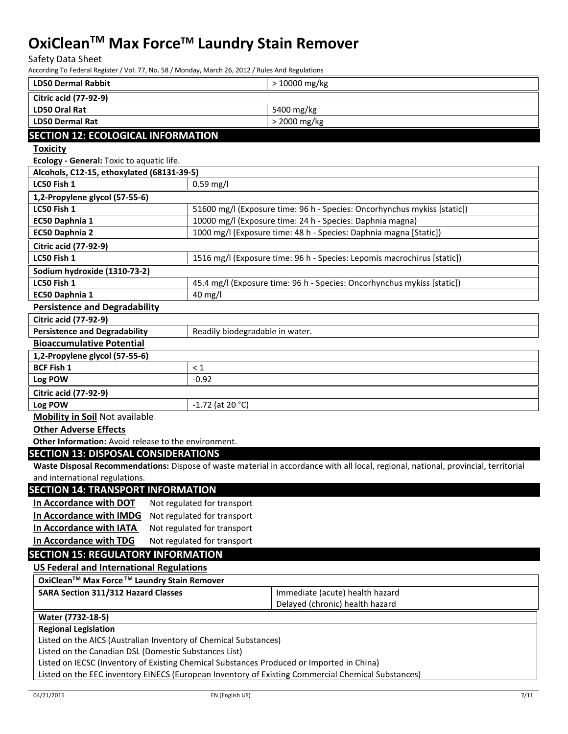Safety Data Sheet

According To Federal Register / Vol. 77, No. 58 / Monday, March 26, 2012 / Rules And Regulations

| <b>LD50 Dermal Rabbit</b>                                          | > 10000 mg/kg                                                                                                                       |
|--------------------------------------------------------------------|-------------------------------------------------------------------------------------------------------------------------------------|
| <b>Citric acid (77-92-9)</b>                                       |                                                                                                                                     |
| <b>LD50 Oral Rat</b>                                               | 5400 mg/kg                                                                                                                          |
| <b>LD50 Dermal Rat</b>                                             | > 2000 mg/kg                                                                                                                        |
| <b>SECTION 12: ECOLOGICAL INFORMATION</b>                          |                                                                                                                                     |
| <b>Toxicity</b>                                                    |                                                                                                                                     |
| Ecology - General: Toxic to aquatic life.                          |                                                                                                                                     |
| Alcohols, C12-15, ethoxylated (68131-39-5)                         |                                                                                                                                     |
| LC50 Fish 1                                                        | $0.59$ mg/l                                                                                                                         |
| 1,2-Propylene glycol (57-55-6)                                     |                                                                                                                                     |
| LC50 Fish 1                                                        | 51600 mg/l (Exposure time: 96 h - Species: Oncorhynchus mykiss [static])                                                            |
| EC50 Daphnia 1                                                     | 10000 mg/l (Exposure time: 24 h - Species: Daphnia magna)                                                                           |
| EC50 Daphnia 2                                                     | 1000 mg/l (Exposure time: 48 h - Species: Daphnia magna [Static])                                                                   |
| <b>Citric acid (77-92-9)</b>                                       |                                                                                                                                     |
| LC50 Fish 1                                                        | 1516 mg/l (Exposure time: 96 h - Species: Lepomis macrochirus [static])                                                             |
| Sodium hydroxide (1310-73-2)                                       |                                                                                                                                     |
| LC50 Fish 1                                                        | 45.4 mg/l (Exposure time: 96 h - Species: Oncorhynchus mykiss [static])                                                             |
| EC50 Daphnia 1                                                     | 40 mg/l                                                                                                                             |
| <b>Persistence and Degradability</b>                               |                                                                                                                                     |
| <b>Citric acid (77-92-9)</b>                                       |                                                                                                                                     |
| <b>Persistence and Degradability</b>                               | Readily biodegradable in water.                                                                                                     |
| <b>Bioaccumulative Potential</b>                                   |                                                                                                                                     |
| 1,2-Propylene glycol (57-55-6)                                     |                                                                                                                                     |
| <b>BCF Fish 1</b>                                                  | $\leq 1$                                                                                                                            |
| Log POW                                                            | $-0.92$                                                                                                                             |
| <b>Citric acid (77-92-9)</b>                                       |                                                                                                                                     |
| Log POW                                                            | $-1.72$ (at 20 °C)                                                                                                                  |
| <b>Mobility in Soil Not available</b>                              |                                                                                                                                     |
| <b>Other Adverse Effects</b>                                       |                                                                                                                                     |
| Other Information: Avoid release to the environment.               |                                                                                                                                     |
| <b>SECTION 13: DISPOSAL CONSIDERATIONS</b>                         |                                                                                                                                     |
|                                                                    | Waste Disposal Recommendations: Dispose of waste material in accordance with all local, regional, national, provincial, territorial |
| and international regulations.                                     |                                                                                                                                     |
| <b>SECTION 14: TRANSPORT INFORMATION</b>                           |                                                                                                                                     |
| In Accordance with DOT                                             | Not regulated for transport                                                                                                         |
| In Accordance with IMDG                                            | Not regulated for transport                                                                                                         |
| In Accordance with IATA                                            | Not regulated for transport                                                                                                         |
| In Accordance with TDG                                             | Not regulated for transport                                                                                                         |
| <b>SECTION 15: REGULATORY INFORMATION</b>                          |                                                                                                                                     |
| <b>US Federal and International Regulations</b>                    |                                                                                                                                     |
| OxiClean <sup>™</sup> Max Force <sup>™</sup> Laundry Stain Remover |                                                                                                                                     |
| <b>SARA Section 311/312 Hazard Classes</b>                         | Immediate (acute) health hazard                                                                                                     |
|                                                                    | Delayed (chronic) health hazard                                                                                                     |
| Water (7732-18-5)                                                  |                                                                                                                                     |
| <b>Regional Legislation</b>                                        |                                                                                                                                     |
| Listed on the AICS (Australian Inventory of Chemical Substances)   |                                                                                                                                     |
| Listed on the Canadian DSL (Domestic Substances List)              |                                                                                                                                     |
|                                                                    | Listed on IECSC (Inventory of Existing Chemical Substances Produced or Imported in China)                                           |
|                                                                    | Listed on the EEC inventory EINECS (European Inventory of Existing Commercial Chemical Substances)                                  |
| 04/21/2015                                                         | 7/11<br>EN (English US)                                                                                                             |
|                                                                    |                                                                                                                                     |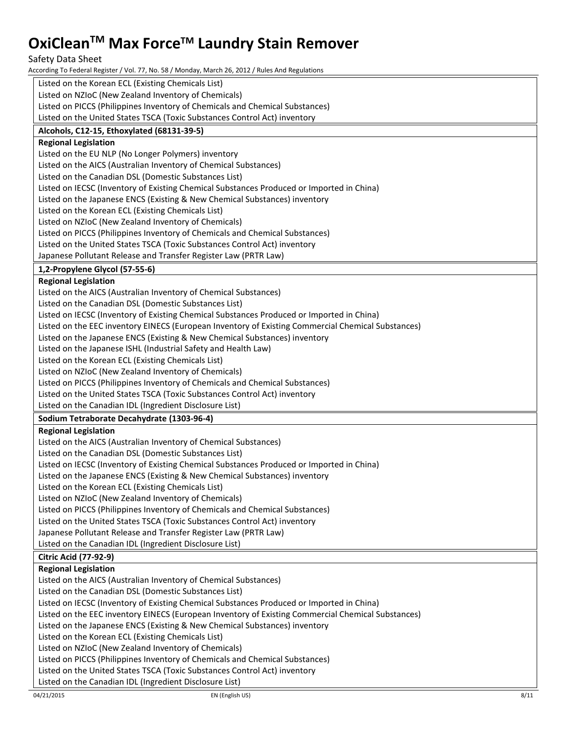Safety Data Sheet

According To Federal Register / Vol. 77, No. 58 / Monday, March 26, 2012 / Rules And Regulations

| Listed on the Korean ECL (Existing Chemicals List)                                                 |      |
|----------------------------------------------------------------------------------------------------|------|
| Listed on NZIoC (New Zealand Inventory of Chemicals)                                               |      |
| Listed on PICCS (Philippines Inventory of Chemicals and Chemical Substances)                       |      |
| Listed on the United States TSCA (Toxic Substances Control Act) inventory                          |      |
| Alcohols, C12-15, Ethoxylated (68131-39-5)                                                         |      |
| <b>Regional Legislation</b>                                                                        |      |
| Listed on the EU NLP (No Longer Polymers) inventory                                                |      |
| Listed on the AICS (Australian Inventory of Chemical Substances)                                   |      |
| Listed on the Canadian DSL (Domestic Substances List)                                              |      |
| Listed on IECSC (Inventory of Existing Chemical Substances Produced or Imported in China)          |      |
| Listed on the Japanese ENCS (Existing & New Chemical Substances) inventory                         |      |
| Listed on the Korean ECL (Existing Chemicals List)                                                 |      |
| Listed on NZIoC (New Zealand Inventory of Chemicals)                                               |      |
| Listed on PICCS (Philippines Inventory of Chemicals and Chemical Substances)                       |      |
| Listed on the United States TSCA (Toxic Substances Control Act) inventory                          |      |
| Japanese Pollutant Release and Transfer Register Law (PRTR Law)                                    |      |
| 1,2-Propylene Glycol (57-55-6)                                                                     |      |
| <b>Regional Legislation</b>                                                                        |      |
| Listed on the AICS (Australian Inventory of Chemical Substances)                                   |      |
| Listed on the Canadian DSL (Domestic Substances List)                                              |      |
| Listed on IECSC (Inventory of Existing Chemical Substances Produced or Imported in China)          |      |
| Listed on the EEC inventory EINECS (European Inventory of Existing Commercial Chemical Substances) |      |
| Listed on the Japanese ENCS (Existing & New Chemical Substances) inventory                         |      |
| Listed on the Japanese ISHL (Industrial Safety and Health Law)                                     |      |
| Listed on the Korean ECL (Existing Chemicals List)                                                 |      |
| Listed on NZIoC (New Zealand Inventory of Chemicals)                                               |      |
| Listed on PICCS (Philippines Inventory of Chemicals and Chemical Substances)                       |      |
| Listed on the United States TSCA (Toxic Substances Control Act) inventory                          |      |
| Listed on the Canadian IDL (Ingredient Disclosure List)                                            |      |
| Sodium Tetraborate Decahydrate (1303-96-4)                                                         |      |
| <b>Regional Legislation</b>                                                                        |      |
| Listed on the AICS (Australian Inventory of Chemical Substances)                                   |      |
| Listed on the Canadian DSL (Domestic Substances List)                                              |      |
| Listed on IECSC (Inventory of Existing Chemical Substances Produced or Imported in China)          |      |
| Listed on the Japanese ENCS (Existing & New Chemical Substances) inventory                         |      |
| Listed on the Korean ECL (Existing Chemicals List)                                                 |      |
| Listed on NZIoC (New Zealand Inventory of Chemicals)                                               |      |
| Listed on PICCS (Philippines Inventory of Chemicals and Chemical Substances)                       |      |
| Listed on the United States TSCA (Toxic Substances Control Act) inventory                          |      |
| Japanese Pollutant Release and Transfer Register Law (PRTR Law)                                    |      |
| Listed on the Canadian IDL (Ingredient Disclosure List)                                            |      |
| <b>Citric Acid (77-92-9)</b>                                                                       |      |
| <b>Regional Legislation</b>                                                                        |      |
| Listed on the AICS (Australian Inventory of Chemical Substances)                                   |      |
| Listed on the Canadian DSL (Domestic Substances List)                                              |      |
| Listed on IECSC (Inventory of Existing Chemical Substances Produced or Imported in China)          |      |
| Listed on the EEC inventory EINECS (European Inventory of Existing Commercial Chemical Substances) |      |
| Listed on the Japanese ENCS (Existing & New Chemical Substances) inventory                         |      |
| Listed on the Korean ECL (Existing Chemicals List)                                                 |      |
| Listed on NZIoC (New Zealand Inventory of Chemicals)                                               |      |
| Listed on PICCS (Philippines Inventory of Chemicals and Chemical Substances)                       |      |
| Listed on the United States TSCA (Toxic Substances Control Act) inventory                          |      |
| Listed on the Canadian IDL (Ingredient Disclosure List)                                            |      |
| 04/21/2015<br>EN (English US)                                                                      | 8/11 |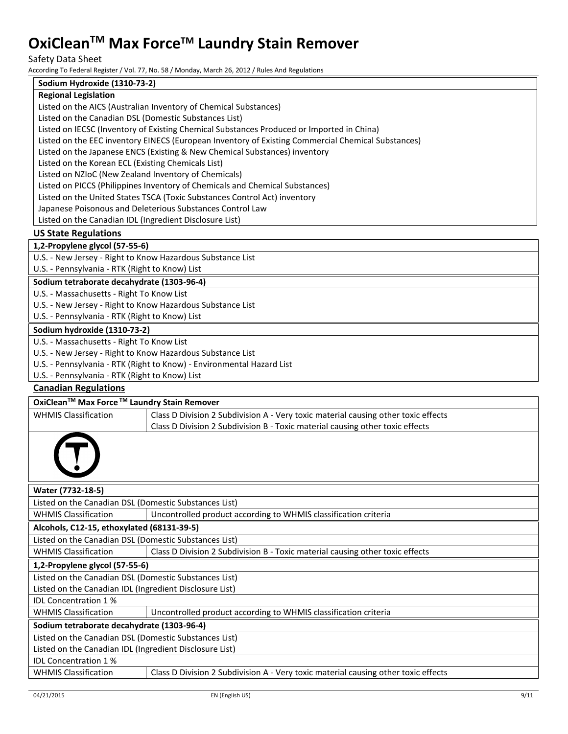Safety Data Sheet

According To Federal Register / Vol. 77, No. 58 / Monday, March 26, 2012 / Rules And Regulations

#### **Sodium Hydroxide (1310-73-2)**

#### **Regional Legislation**

Listed on the AICS (Australian Inventory of Chemical Substances)

Listed on the Canadian DSL (Domestic Substances List)

Listed on IECSC (Inventory of Existing Chemical Substances Produced or Imported in China)

Listed on the EEC inventory EINECS (European Inventory of Existing Commercial Chemical Substances)

Listed on the Japanese ENCS (Existing & New Chemical Substances) inventory

Listed on the Korean ECL (Existing Chemicals List)

Listed on NZIoC (New Zealand Inventory of Chemicals)

Listed on PICCS (Philippines Inventory of Chemicals and Chemical Substances)

Listed on the United States TSCA (Toxic Substances Control Act) inventory

Japanese Poisonous and Deleterious Substances Control Law

Listed on the Canadian IDL (Ingredient Disclosure List)

#### **US State Regulations**

#### **1,2-Propylene glycol (57-55-6)**

U.S. - New Jersey - Right to Know Hazardous Substance List

U.S. - Pennsylvania - RTK (Right to Know) List

#### **Sodium tetraborate decahydrate (1303-96-4)**

U.S. - Massachusetts - Right To Know List

U.S. - New Jersey - Right to Know Hazardous Substance List

U.S. - Pennsylvania - RTK (Right to Know) List

#### **Sodium hydroxide (1310-73-2)**

U.S. - Massachusetts - Right To Know List

U.S. - New Jersey - Right to Know Hazardous Substance List

U.S. - Pennsylvania - RTK (Right to Know) - Environmental Hazard List

U.S. - Pennsylvania - RTK (Right to Know) List

#### **Canadian Regulations**

| OxiClean <sup>™</sup> Max Force <sup>™</sup> Laundry Stain Remover |                                                                                    |
|--------------------------------------------------------------------|------------------------------------------------------------------------------------|
| <b>WHMIS Classification</b>                                        | Class D Division 2 Subdivision A - Very toxic material causing other toxic effects |
|                                                                    | Class D Division 2 Subdivision B - Toxic material causing other toxic effects      |
|                                                                    |                                                                                    |

| Water (7732-18-5)                                       |                                                                                    |  |  |
|---------------------------------------------------------|------------------------------------------------------------------------------------|--|--|
|                                                         | Listed on the Canadian DSL (Domestic Substances List)                              |  |  |
| <b>WHMIS Classification</b>                             | Uncontrolled product according to WHMIS classification criteria                    |  |  |
| Alcohols, C12-15, ethoxylated (68131-39-5)              |                                                                                    |  |  |
| Listed on the Canadian DSL (Domestic Substances List)   |                                                                                    |  |  |
| <b>WHMIS Classification</b>                             | Class D Division 2 Subdivision B - Toxic material causing other toxic effects      |  |  |
| 1,2-Propylene glycol (57-55-6)                          |                                                                                    |  |  |
| Listed on the Canadian DSL (Domestic Substances List)   |                                                                                    |  |  |
| Listed on the Canadian IDL (Ingredient Disclosure List) |                                                                                    |  |  |
| <b>IDL Concentration 1%</b>                             |                                                                                    |  |  |
| <b>WHMIS Classification</b>                             | Uncontrolled product according to WHMIS classification criteria                    |  |  |
| Sodium tetraborate decahydrate (1303-96-4)              |                                                                                    |  |  |
| Listed on the Canadian DSL (Domestic Substances List)   |                                                                                    |  |  |
| Listed on the Canadian IDL (Ingredient Disclosure List) |                                                                                    |  |  |
| <b>IDL Concentration 1%</b>                             |                                                                                    |  |  |
| <b>WHMIS Classification</b>                             | Class D Division 2 Subdivision A - Very toxic material causing other toxic effects |  |  |
|                                                         |                                                                                    |  |  |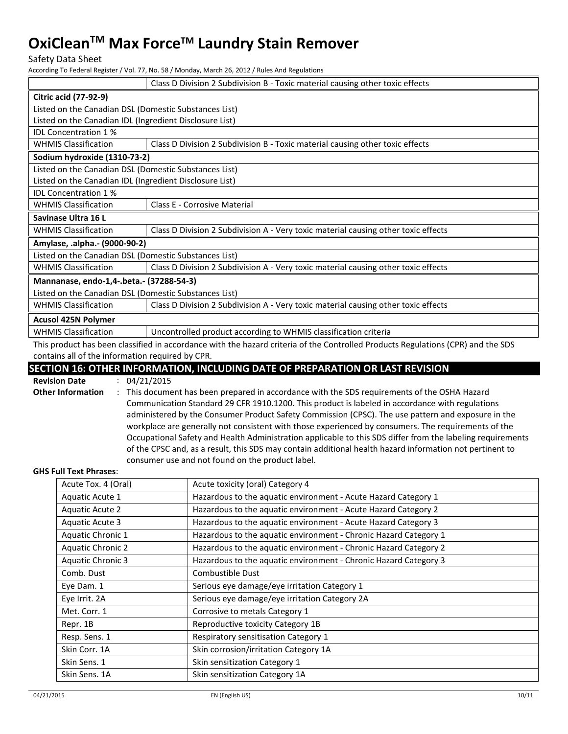Safety Data Sheet

According To Federal Register / Vol. 77, No. 58 / Monday, March 26, 2012 / Rules And Regulations

|                                                                                                                                  | Class D Division 2 Subdivision B - Toxic material causing other toxic effects      |  |  |
|----------------------------------------------------------------------------------------------------------------------------------|------------------------------------------------------------------------------------|--|--|
| <b>Citric acid (77-92-9)</b>                                                                                                     |                                                                                    |  |  |
| Listed on the Canadian DSL (Domestic Substances List)                                                                            |                                                                                    |  |  |
| Listed on the Canadian IDL (Ingredient Disclosure List)                                                                          |                                                                                    |  |  |
| <b>IDL Concentration 1%</b>                                                                                                      |                                                                                    |  |  |
| <b>WHMIS Classification</b>                                                                                                      | Class D Division 2 Subdivision B - Toxic material causing other toxic effects      |  |  |
| Sodium hydroxide (1310-73-2)                                                                                                     |                                                                                    |  |  |
| Listed on the Canadian DSL (Domestic Substances List)                                                                            |                                                                                    |  |  |
| Listed on the Canadian IDL (Ingredient Disclosure List)                                                                          |                                                                                    |  |  |
| <b>IDL Concentration 1%</b>                                                                                                      |                                                                                    |  |  |
| <b>WHMIS Classification</b>                                                                                                      | Class E - Corrosive Material                                                       |  |  |
| Savinase Ultra 16 L                                                                                                              |                                                                                    |  |  |
| <b>WHMIS Classification</b>                                                                                                      | Class D Division 2 Subdivision A - Very toxic material causing other toxic effects |  |  |
| Amylase, .alpha.- (9000-90-2)                                                                                                    |                                                                                    |  |  |
| Listed on the Canadian DSL (Domestic Substances List)                                                                            |                                                                                    |  |  |
| <b>WHMIS Classification</b>                                                                                                      | Class D Division 2 Subdivision A - Very toxic material causing other toxic effects |  |  |
| Mannanase, endo-1,4-.beta.- (37288-54-3)                                                                                         |                                                                                    |  |  |
| Listed on the Canadian DSL (Domestic Substances List)                                                                            |                                                                                    |  |  |
| <b>WHMIS Classification</b>                                                                                                      | Class D Division 2 Subdivision A - Very toxic material causing other toxic effects |  |  |
| <b>Acusol 425N Polymer</b>                                                                                                       |                                                                                    |  |  |
| <b>WHMIS Classification</b>                                                                                                      | Uncontrolled product according to WHMIS classification criteria                    |  |  |
| This product has been classified in accordance with the hazard criteria of the Controlled Products Regulations (CPR) and the SDS |                                                                                    |  |  |

contains all of the information required by CPR.

#### **SECTION 16: OTHER INFORMATION, INCLUDING DATE OF PREPARATION OR LAST REVISION**

**Revision Date** : 04/21/2015 **Other Information** : This document has been prepared in accordance with the SDS requirements of the OSHA Hazard Communication Standard 29 CFR 1910.1200. This product is labeled in accordance with regulations administered by the Consumer Product Safety Commission (CPSC). The use pattern and exposure in the workplace are generally not consistent with those experienced by consumers. The requirements of the Occupational Safety and Health Administration applicable to this SDS differ from the labeling requirements of the CPSC and, as a result, this SDS may contain additional health hazard information not pertinent to consumer use and not found on the product label.

#### **GHS Full Text Phrases**:

| Acute Tox. 4 (Oral)      | Acute toxicity (oral) Category 4                                 |
|--------------------------|------------------------------------------------------------------|
| Aquatic Acute 1          | Hazardous to the aquatic environment - Acute Hazard Category 1   |
| Aquatic Acute 2          | Hazardous to the aquatic environment - Acute Hazard Category 2   |
| Aquatic Acute 3          | Hazardous to the aquatic environment - Acute Hazard Category 3   |
| Aquatic Chronic 1        | Hazardous to the aquatic environment - Chronic Hazard Category 1 |
| <b>Aquatic Chronic 2</b> | Hazardous to the aquatic environment - Chronic Hazard Category 2 |
| <b>Aquatic Chronic 3</b> | Hazardous to the aquatic environment - Chronic Hazard Category 3 |
| Comb. Dust               | Combustible Dust                                                 |
| Eye Dam. 1               | Serious eye damage/eye irritation Category 1                     |
| Eye Irrit. 2A            | Serious eye damage/eye irritation Category 2A                    |
| Met. Corr. 1             | Corrosive to metals Category 1                                   |
| Repr. 1B                 | Reproductive toxicity Category 1B                                |
| Resp. Sens. 1            | Respiratory sensitisation Category 1                             |
| Skin Corr. 1A            | Skin corrosion/irritation Category 1A                            |
| Skin Sens. 1             | Skin sensitization Category 1                                    |
| Skin Sens. 1A            | Skin sensitization Category 1A                                   |